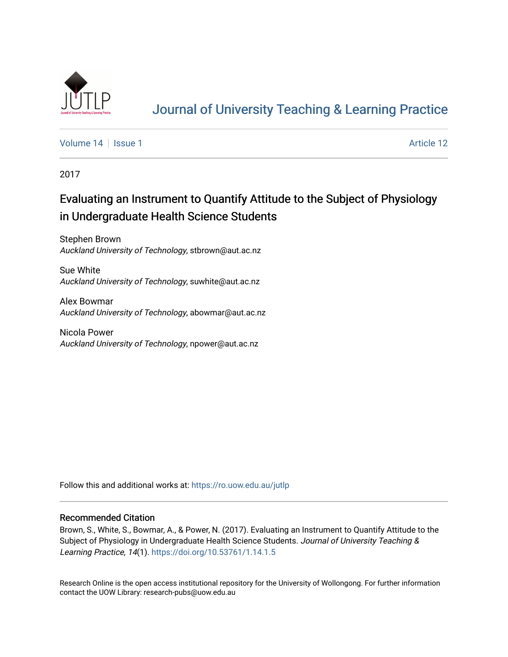

# [Journal of University Teaching & Learning Practice](https://ro.uow.edu.au/jutlp)

[Volume 14](https://ro.uow.edu.au/jutlp/vol14) | [Issue 1](https://ro.uow.edu.au/jutlp/vol14/iss1) Article 12

2017

## Evaluating an Instrument to Quantify Attitude to the Subject of Physiology in Undergraduate Health Science Students

Stephen Brown Auckland University of Technology, stbrown@aut.ac.nz

Sue White Auckland University of Technology, suwhite@aut.ac.nz

Alex Bowmar Auckland University of Technology, abowmar@aut.ac.nz

Nicola Power Auckland University of Technology, npower@aut.ac.nz

Follow this and additional works at: [https://ro.uow.edu.au/jutlp](https://ro.uow.edu.au/jutlp?utm_source=ro.uow.edu.au%2Fjutlp%2Fvol14%2Fiss1%2F12&utm_medium=PDF&utm_campaign=PDFCoverPages) 

### Recommended Citation

Brown, S., White, S., Bowmar, A., & Power, N. (2017). Evaluating an Instrument to Quantify Attitude to the Subject of Physiology in Undergraduate Health Science Students. Journal of University Teaching & Learning Practice, 14(1). <https://doi.org/10.53761/1.14.1.5>

Research Online is the open access institutional repository for the University of Wollongong. For further information contact the UOW Library: research-pubs@uow.edu.au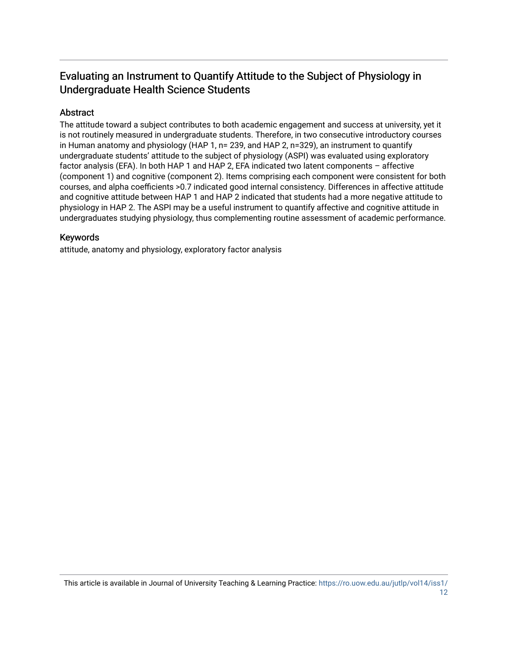### Evaluating an Instrument to Quantify Attitude to the Subject of Physiology in Undergraduate Health Science Students

### Abstract

The attitude toward a subject contributes to both academic engagement and success at university, yet it is not routinely measured in undergraduate students. Therefore, in two consecutive introductory courses in Human anatomy and physiology (HAP 1, n= 239, and HAP 2, n=329), an instrument to quantify undergraduate students' attitude to the subject of physiology (ASPI) was evaluated using exploratory factor analysis (EFA). In both HAP 1 and HAP 2, EFA indicated two latent components – affective (component 1) and cognitive (component 2). Items comprising each component were consistent for both courses, and alpha coefficients >0.7 indicated good internal consistency. Differences in affective attitude and cognitive attitude between HAP 1 and HAP 2 indicated that students had a more negative attitude to physiology in HAP 2. The ASPI may be a useful instrument to quantify affective and cognitive attitude in undergraduates studying physiology, thus complementing routine assessment of academic performance.

### Keywords

attitude, anatomy and physiology, exploratory factor analysis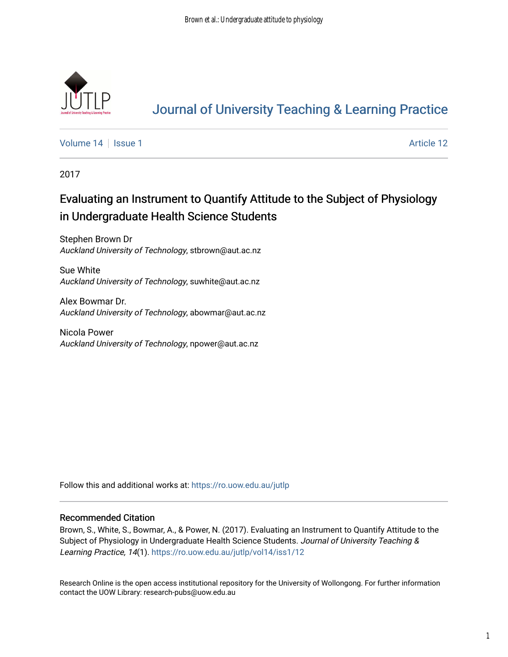

## [Journal of University Teaching & Learning Practice](https://ro.uow.edu.au/jutlp)

[Volume 14](https://ro.uow.edu.au/jutlp/vol14) | [Issue 1](https://ro.uow.edu.au/jutlp/vol14/iss1) Article 12

2017

## Evaluating an Instrument to Quantify Attitude to the Subject of Physiology in Undergraduate Health Science Students

Stephen Brown Dr Auckland University of Technology, stbrown@aut.ac.nz

Sue White Auckland University of Technology, suwhite@aut.ac.nz

Alex Bowmar Dr. Auckland University of Technology, abowmar@aut.ac.nz

Nicola Power Auckland University of Technology, npower@aut.ac.nz

Follow this and additional works at: [https://ro.uow.edu.au/jutlp](https://ro.uow.edu.au/jutlp?utm_source=ro.uow.edu.au%2Fjutlp%2Fvol14%2Fiss1%2F12&utm_medium=PDF&utm_campaign=PDFCoverPages) 

### Recommended Citation

Brown, S., White, S., Bowmar, A., & Power, N. (2017). Evaluating an Instrument to Quantify Attitude to the Subject of Physiology in Undergraduate Health Science Students. Journal of University Teaching & Learning Practice, 14(1). [https://ro.uow.edu.au/jutlp/vol14/iss1/12](https://ro.uow.edu.au/jutlp/vol14/iss1/12?utm_source=ro.uow.edu.au%2Fjutlp%2Fvol14%2Fiss1%2F12&utm_medium=PDF&utm_campaign=PDFCoverPages) 

Research Online is the open access institutional repository for the University of Wollongong. For further information contact the UOW Library: research-pubs@uow.edu.au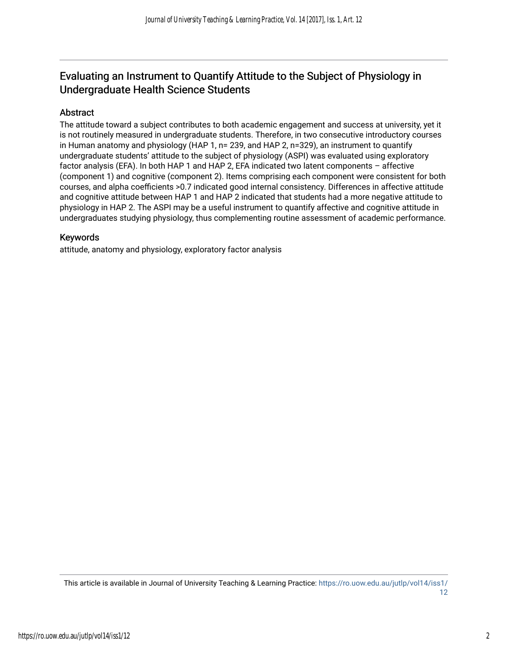### Evaluating an Instrument to Quantify Attitude to the Subject of Physiology in Undergraduate Health Science Students

### Abstract

The attitude toward a subject contributes to both academic engagement and success at university, yet it is not routinely measured in undergraduate students. Therefore, in two consecutive introductory courses in Human anatomy and physiology (HAP 1, n= 239, and HAP 2, n=329), an instrument to quantify undergraduate students' attitude to the subject of physiology (ASPI) was evaluated using exploratory factor analysis (EFA). In both HAP 1 and HAP 2, EFA indicated two latent components – affective (component 1) and cognitive (component 2). Items comprising each component were consistent for both courses, and alpha coefficients >0.7 indicated good internal consistency. Differences in affective attitude and cognitive attitude between HAP 1 and HAP 2 indicated that students had a more negative attitude to physiology in HAP 2. The ASPI may be a useful instrument to quantify affective and cognitive attitude in undergraduates studying physiology, thus complementing routine assessment of academic performance.

### Keywords

attitude, anatomy and physiology, exploratory factor analysis

This article is available in Journal of University Teaching & Learning Practice: [https://ro.uow.edu.au/jutlp/vol14/iss1/](https://ro.uow.edu.au/jutlp/vol14/iss1/12) [12](https://ro.uow.edu.au/jutlp/vol14/iss1/12)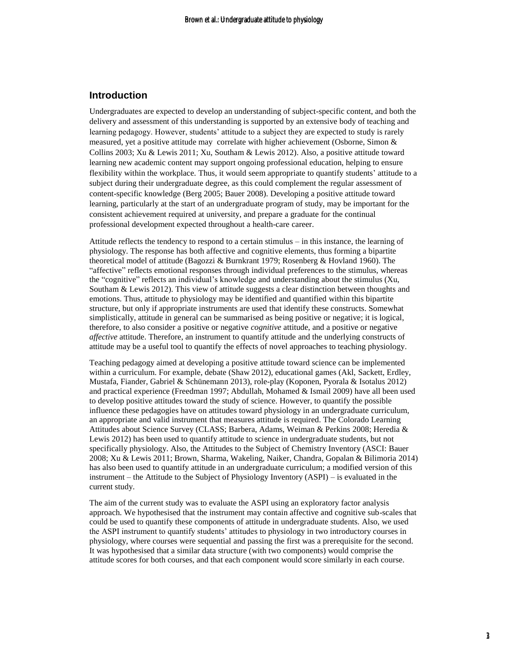### **Introduction**

Undergraduates are expected to develop an understanding of subject-specific content, and both the delivery and assessment of this understanding is supported by an extensive body of teaching and learning pedagogy. However, students' attitude to a subject they are expected to study is rarely measured, yet a positive attitude may correlate with higher achievement (Osborne, Simon & Collins 2003; Xu & Lewis 2011; Xu, Southam & Lewis 2012). Also, a positive attitude toward learning new academic content may support ongoing professional education, helping to ensure flexibility within the workplace. Thus, it would seem appropriate to quantify students' attitude to a subject during their undergraduate degree, as this could complement the regular assessment of content-specific knowledge (Berg 2005; Bauer 2008). Developing a positive attitude toward learning, particularly at the start of an undergraduate program of study, may be important for the consistent achievement required at university, and prepare a graduate for the continual professional development expected throughout a health-care career.

Attitude reflects the tendency to respond to a certain stimulus – in this instance, the learning of physiology. The response has both affective and cognitive elements, thus forming a bipartite theoretical model of attitude (Bagozzi & Burnkrant 1979; Rosenberg & Hovland 1960). The "affective" reflects emotional responses through individual preferences to the stimulus, whereas the "cognitive" reflects an individual's knowledge and understanding about the stimulus (Xu, Southam & Lewis 2012). This view of attitude suggests a clear distinction between thoughts and emotions. Thus, attitude to physiology may be identified and quantified within this bipartite structure, but only if appropriate instruments are used that identify these constructs. Somewhat simplistically, attitude in general can be summarised as being positive or negative; it is logical, therefore, to also consider a positive or negative *cognitive* attitude, and a positive or negative *affective* attitude. Therefore, an instrument to quantify attitude and the underlying constructs of attitude may be a useful tool to quantify the effects of novel approaches to teaching physiology.

Teaching pedagogy aimed at developing a positive attitude toward science can be implemented within a curriculum. For example, debate (Shaw 2012), educational games (Akl, Sackett, Erdley, Mustafa, Fiander, Gabriel & Schünemann 2013), role-play (Koponen, Pyorala & Isotalus 2012) and practical experience (Freedman 1997; Abdullah, Mohamed & Ismail 2009) have all been used to develop positive attitudes toward the study of science. However, to quantify the possible influence these pedagogies have on attitudes toward physiology in an undergraduate curriculum, an appropriate and valid instrument that measures attitude is required. The Colorado Learning Attitudes about Science Survey (CLASS; Barbera, Adams, Weiman & Perkins 2008; Heredia & Lewis 2012) has been used to quantify attitude to science in undergraduate students, but not specifically physiology. Also, the Attitudes to the Subject of Chemistry Inventory (ASCI: Bauer 2008; Xu & Lewis 2011; Brown, Sharma, Wakeling, Naiker, Chandra, Gopalan & Bilimoria 2014) has also been used to quantify attitude in an undergraduate curriculum; a modified version of this instrument – the Attitude to the Subject of Physiology Inventory (ASPI) – is evaluated in the current study.

The aim of the current study was to evaluate the ASPI using an exploratory factor analysis approach. We hypothesised that the instrument may contain affective and cognitive sub-scales that could be used to quantify these components of attitude in undergraduate students. Also, we used the ASPI instrument to quantify students' attitudes to physiology in two introductory courses in physiology, where courses were sequential and passing the first was a prerequisite for the second. It was hypothesised that a similar data structure (with two components) would comprise the attitude scores for both courses, and that each component would score similarly in each course.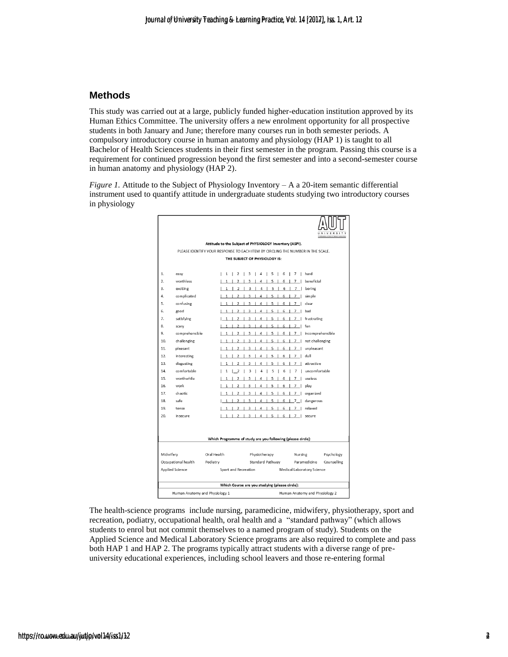### **Methods**

This study was carried out at a large, publicly funded higher-education institution approved by its Human Ethics Committee. The university offers a new enrolment opportunity for all prospective students in both January and June; therefore many courses run in both semester periods. A compulsory introductory course in human anatomy and physiology (HAP 1) is taught to all Bachelor of Health Sciences students in their first semester in the program. Passing this course is a requirement for continued progression beyond the first semester and into a second-semester course in human anatomy and physiology (HAP 2).

*Figure 1.* Attitude to the Subject of Physiology Inventory – A a 20-item semantic differential instrument used to quantify attitude in undergraduate students studying two introductory courses in physiology



The health-science programs include nursing, paramedicine, midwifery, physiotherapy, sport and recreation, podiatry, occupational health, oral health and a "standard pathway" (which allows students to enrol but not commit themselves to a named program of study). Students on the Applied Science and Medical Laboratory Science programs are also required to complete and pass both HAP 1 and HAP 2. The programs typically attract students with a diverse range of preuniversity educational experiences, including school leavers and those re-entering formal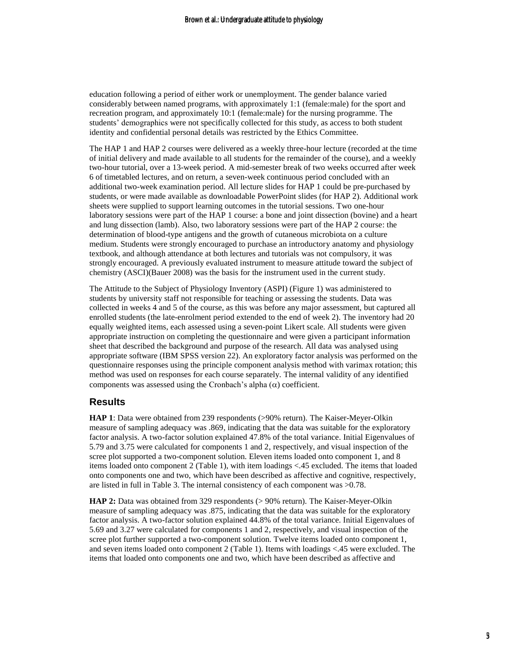education following a period of either work or unemployment. The gender balance varied considerably between named programs, with approximately 1:1 (female:male) for the sport and recreation program, and approximately 10:1 (female:male) for the nursing programme. The students' demographics were not specifically collected for this study, as access to both student identity and confidential personal details was restricted by the Ethics Committee.

The HAP 1 and HAP 2 courses were delivered as a weekly three-hour lecture (recorded at the time of initial delivery and made available to all students for the remainder of the course), and a weekly two-hour tutorial, over a 13-week period. A mid-semester break of two weeks occurred after week 6 of timetabled lectures, and on return, a seven-week continuous period concluded with an additional two-week examination period. All lecture slides for HAP 1 could be pre-purchased by students, or were made available as downloadable PowerPoint slides (for HAP 2). Additional work sheets were supplied to support learning outcomes in the tutorial sessions. Two one-hour laboratory sessions were part of the HAP 1 course: a bone and joint dissection (bovine) and a heart and lung dissection (lamb). Also, two laboratory sessions were part of the HAP 2 course: the determination of blood-type antigens and the growth of cutaneous microbiota on a culture medium. Students were strongly encouraged to purchase an introductory anatomy and physiology textbook, and although attendance at both lectures and tutorials was not compulsory, it was strongly encouraged. A previously evaluated instrument to measure attitude toward the subject of chemistry (ASCI)(Bauer 2008) was the basis for the instrument used in the current study.

The Attitude to the Subject of Physiology Inventory (ASPI) (Figure 1) was administered to students by university staff not responsible for teaching or assessing the students. Data was collected in weeks 4 and 5 of the course, as this was before any major assessment, but captured all enrolled students (the late-enrolment period extended to the end of week 2). The inventory had 20 equally weighted items, each assessed using a seven-point Likert scale. All students were given appropriate instruction on completing the questionnaire and were given a participant information sheet that described the background and purpose of the research. All data was analysed using appropriate software (IBM SPSS version 22). An exploratory factor analysis was performed on the questionnaire responses using the principle component analysis method with varimax rotation; this method was used on responses for each course separately. The internal validity of any identified components was assessed using the Cronbach's alpha  $(\alpha)$  coefficient.

### **Results**

**HAP 1**: Data were obtained from 239 respondents (>90% return). The Kaiser-Meyer-Olkin measure of sampling adequacy was .869, indicating that the data was suitable for the exploratory factor analysis. A two-factor solution explained 47.8% of the total variance. Initial Eigenvalues of 5.79 and 3.75 were calculated for components 1 and 2, respectively, and visual inspection of the scree plot supported a two-component solution. Eleven items loaded onto component 1, and 8 items loaded onto component 2 (Table 1), with item loadings <.45 excluded. The items that loaded onto components one and two, which have been described as affective and cognitive, respectively, are listed in full in Table 3. The internal consistency of each component was >0.78.

**HAP 2:** Data was obtained from 329 respondents (> 90% return). The Kaiser-Meyer-Olkin measure of sampling adequacy was .875, indicating that the data was suitable for the exploratory factor analysis. A two-factor solution explained 44.8% of the total variance. Initial Eigenvalues of 5.69 and 3.27 were calculated for components 1 and 2, respectively, and visual inspection of the scree plot further supported a two-component solution. Twelve items loaded onto component 1, and seven items loaded onto component 2 (Table 1). Items with loadings <.45 were excluded. The items that loaded onto components one and two, which have been described as affective and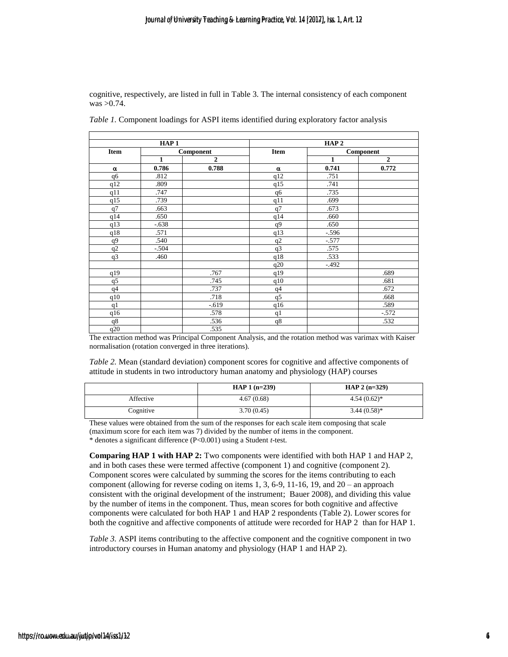cognitive, respectively, are listed in full in Table 3. The internal consistency of each component was >0.74.

| HAP <sub>1</sub> |              |              | HAP <sub>2</sub> |           |              |
|------------------|--------------|--------------|------------------|-----------|--------------|
| Item             | Component    |              | Item             | Component |              |
|                  | $\mathbf{1}$ | $\mathbf{2}$ |                  | 1         | $\mathbf{2}$ |
| α                | 0.786        | 0.788        | $\alpha$         | 0.741     | 0.772        |
| q6               | .812         |              | q12              | .751      |              |
| q12              | .809         |              | q15              | .741      |              |
| q11              | .747         |              | q6               | .735      |              |
| q15              | .739         |              | q11              | .699      |              |
| q7               | .663         |              | q7               | .673      |              |
| q14              | .650         |              | q14              | .660      |              |
| q13              | $-.638$      |              | q9               | .650      |              |
| q18              | .571         |              | q13              | $-0.596$  |              |
| q9               | .540         |              | q2               | $-.577$   |              |
| q2               | $-.504$      |              | q3               | .575      |              |
| q3               | .460         |              | q18              | .533      |              |
|                  |              |              | q20              | $-.492$   |              |
| q19              |              | .767         | q19              |           | .689         |
| q5               |              | .745         | q10              |           | .681         |
| q <sub>4</sub>   |              | .737         | q <sub>4</sub>   |           | .672         |
| q10              |              | .718         | q5               |           | .668         |
| q1               |              | $-0.619$     | q16              |           | .589         |
| q16              |              | .578         | q1               |           | $-572$       |
| q8               |              | .536         | q8               |           | .532         |

*Table 1.* Component loadings for ASPI items identified during exploratory factor analysis

The extraction method was Principal Component Analysis, and the rotation method was varimax with Kaiser normalisation (rotation converged in three iterations).

*Table 2.* Mean (standard deviation) component scores for cognitive and affective components of attitude in students in two introductory human anatomy and physiology (HAP) courses

|           | HAP $1(n=239)$ | HAP $2(n=329)$ |
|-----------|----------------|----------------|
| Affective | 4.67(0.68)     | $4.54(0.62)$ * |
| Cognitive | 3.70(0.45)     | $3.44(0.58)$ * |

These values were obtained from the sum of the responses for each scale item composing that scale (maximum score for each item was 7) divided by the number of items in the component. \* denotes a significant difference (P<0.001) using a Student *t*-test.

**Comparing HAP 1 with HAP 2:** Two components were identified with both HAP 1 and HAP 2, and in both cases these were termed affective (component 1) and cognitive (component 2). Component scores were calculated by summing the scores for the items contributing to each component (allowing for reverse coding on items 1, 3, 6-9, 11-16, 19, and 20 – an approach consistent with the original development of the instrument; Bauer 2008), and dividing this value by the number of items in the component. Thus, mean scores for both cognitive and affective components were calculated for both HAP 1 and HAP 2 respondents (Table 2). Lower scores for both the cognitive and affective components of attitude were recorded for HAP 2 than for HAP 1.

*Table 3.* ASPI items contributing to the affective component and the cognitive component in two introductory courses in Human anatomy and physiology (HAP 1 and HAP 2).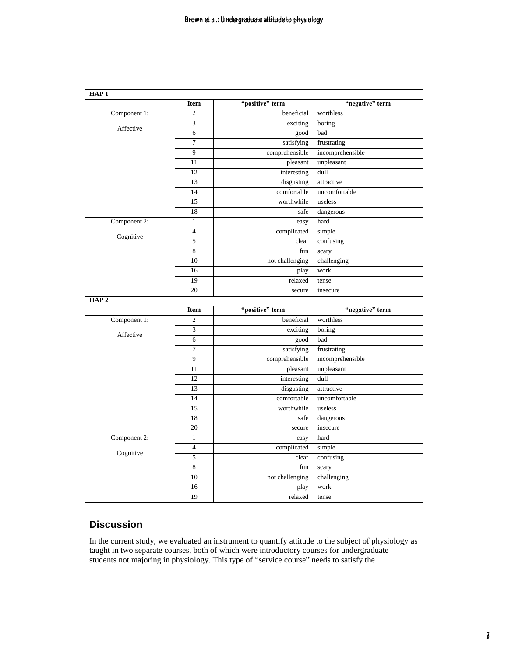| HAP <sub>1</sub> |                |                 |                  |
|------------------|----------------|-----------------|------------------|
|                  | <b>Item</b>    | "positive" term | "negative" term  |
| Component 1:     | $\mathfrak{2}$ | beneficial      | worthless        |
| Affective        | 3              | exciting        | boring           |
|                  | 6              | good            | bad              |
|                  | 7              | satisfying      | frustrating      |
|                  | 9              | comprehensible  | incomprehensible |
|                  | 11             | pleasant        | unpleasant       |
|                  | 12             | interesting     | dull             |
|                  | 13             | disgusting      | attractive       |
|                  | 14             | comfortable     | uncomfortable    |
|                  | 15             | worthwhile      | useless          |
|                  | 18             | safe            | dangerous        |
| Component 2:     | $\mathbf{1}$   | easy            | hard             |
|                  | $\overline{4}$ | complicated     | simple           |
| Cognitive        | 5              | clear           | confusing        |
|                  | 8              | fun             | scary            |
|                  | 10             | not challenging | challenging      |
|                  | 16             | play            | work             |
|                  | 19             | relaxed         | tense            |
|                  | 20             | secure          | insecure         |
| HAP <sub>2</sub> |                |                 |                  |
|                  | <b>Item</b>    | "positive" term | "negative" term  |
| Component 1:     | $\overline{c}$ | beneficial      | worthless        |
| Affective        | 3              | exciting        | boring           |
|                  | 6              | good            | bad              |
|                  | $\tau$         | satisfying      | frustrating      |
|                  | 9              | comprehensible  | incomprehensible |
|                  | 11             | pleasant        | unpleasant       |
|                  | 12             | interesting     | dull             |
|                  | 13             | disgusting      | attractive       |
|                  | 14             | comfortable     | uncomfortable    |
|                  | 15             | worthwhile      | useless          |
|                  | 18             | safe            | dangerous        |
|                  | 20             | secure          | insecure         |
| Component 2:     | $\mathbf{1}$   | easy            | hard             |
|                  | $\overline{4}$ | complicated     | simple           |
| Cognitive        | 5              | clear           | confusing        |
|                  | 8              | fun             | scary            |
|                  | 10             | not challenging | challenging      |
|                  |                |                 |                  |
|                  | 16             | play            | work             |

### **Discussion**

In the current study, we evaluated an instrument to quantify attitude to the subject of physiology as taught in two separate courses, both of which were introductory courses for undergraduate students not majoring in physiology. This type of "service course" needs to satisfy the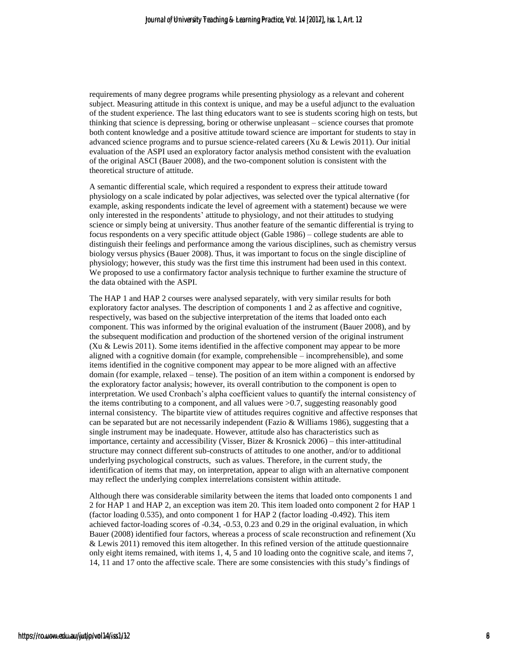requirements of many degree programs while presenting physiology as a relevant and coherent subject. Measuring attitude in this context is unique, and may be a useful adjunct to the evaluation of the student experience. The last thing educators want to see is students scoring high on tests, but thinking that science is depressing, boring or otherwise unpleasant – science courses that promote both content knowledge and a positive attitude toward science are important for students to stay in advanced science programs and to pursue science-related careers (Xu & Lewis 2011). Our initial evaluation of the ASPI used an exploratory factor analysis method consistent with the evaluation of the original ASCI (Bauer 2008), and the two-component solution is consistent with the theoretical structure of attitude.

A semantic differential scale, which required a respondent to express their attitude toward physiology on a scale indicated by polar adjectives, was selected over the typical alternative (for example, asking respondents indicate the level of agreement with a statement) because we were only interested in the respondents' attitude to physiology, and not their attitudes to studying science or simply being at university. Thus another feature of the semantic differential is trying to focus respondents on a very specific attitude object (Gable 1986) – college students are able to distinguish their feelings and performance among the various disciplines, such as chemistry versus biology versus physics (Bauer 2008). Thus, it was important to focus on the single discipline of physiology; however, this study was the first time this instrument had been used in this context. We proposed to use a confirmatory factor analysis technique to further examine the structure of the data obtained with the ASPI.

The HAP 1 and HAP 2 courses were analysed separately, with very similar results for both exploratory factor analyses. The description of components 1 and 2 as affective and cognitive, respectively, was based on the subjective interpretation of the items that loaded onto each component. This was informed by the original evaluation of the instrument (Bauer 2008), and by the subsequent modification and production of the shortened version of the original instrument (Xu & Lewis 2011). Some items identified in the affective component may appear to be more aligned with a cognitive domain (for example, comprehensible – incomprehensible), and some items identified in the cognitive component may appear to be more aligned with an affective domain (for example, relaxed – tense). The position of an item within a component is endorsed by the exploratory factor analysis; however, its overall contribution to the component is open to interpretation. We used Cronbach's alpha coefficient values to quantify the internal consistency of the items contributing to a component, and all values were >0.7, suggesting reasonably good internal consistency. The bipartite view of attitudes requires cognitive and affective responses that can be separated but are not necessarily independent (Fazio & Williams 1986), suggesting that a single instrument may be inadequate. However, attitude also has characteristics such as importance, certainty and accessibility (Visser, Bizer & Krosnick 2006) – this inter-attitudinal structure may connect different sub-constructs of attitudes to one another, and/or to additional underlying psychological constructs, such as values. Therefore, in the current study, the identification of items that may, on interpretation, appear to align with an alternative component may reflect the underlying complex interrelations consistent within attitude.

Although there was considerable similarity between the items that loaded onto components 1 and 2 for HAP 1 and HAP 2, an exception was item 20. This item loaded onto component 2 for HAP 1 (factor loading 0.535), and onto component 1 for HAP 2 (factor loading -0.492). This item achieved factor-loading scores of -0.34, -0.53, 0.23 and 0.29 in the original evaluation, in which Bauer (2008) identified four factors, whereas a process of scale reconstruction and refinement (Xu & Lewis 2011) removed this item altogether. In this refined version of the attitude questionnaire only eight items remained, with items 1, 4, 5 and 10 loading onto the cognitive scale, and items 7, 14, 11 and 17 onto the affective scale. There are some consistencies with this study's findings of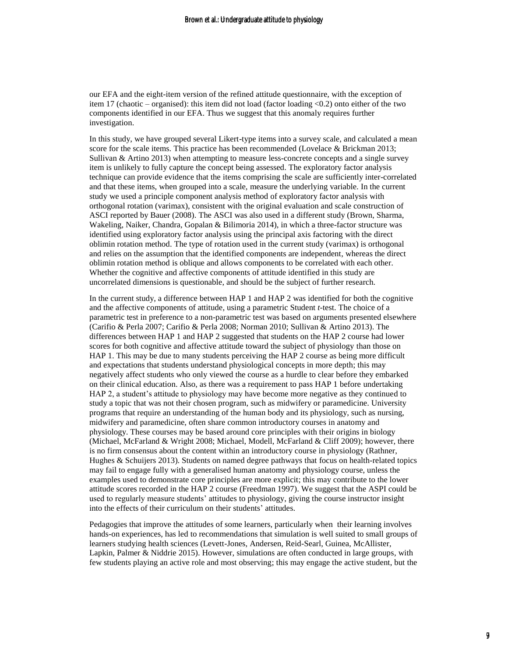our EFA and the eight-item version of the refined attitude questionnaire, with the exception of item 17 (chaotic – organised): this item did not load (factor loading <0.2) onto either of the two components identified in our EFA. Thus we suggest that this anomaly requires further investigation.

In this study, we have grouped several Likert-type items into a survey scale, and calculated a mean score for the scale items. This practice has been recommended (Lovelace & Brickman 2013; Sullivan  $&$  Artino 2013) when attempting to measure less-concrete concepts and a single survey item is unlikely to fully capture the concept being assessed. The exploratory factor analysis technique can provide evidence that the items comprising the scale are sufficiently inter-correlated and that these items, when grouped into a scale, measure the underlying variable. In the current study we used a principle component analysis method of exploratory factor analysis with orthogonal rotation (varimax), consistent with the original evaluation and scale construction of ASCI reported by Bauer (2008). The ASCI was also used in a different study (Brown, Sharma, Wakeling, Naiker, Chandra, Gopalan & Bilimoria 2014), in which a three-factor structure was identified using exploratory factor analysis using the principal axis factoring with the direct oblimin rotation method. The type of rotation used in the current study (varimax) is orthogonal and relies on the assumption that the identified components are independent, whereas the direct oblimin rotation method is oblique and allows components to be correlated with each other. Whether the cognitive and affective components of attitude identified in this study are uncorrelated dimensions is questionable, and should be the subject of further research.

In the current study, a difference between HAP 1 and HAP 2 was identified for both the cognitive and the affective components of attitude, using a parametric Student *t*-test. The choice of a parametric test in preference to a non-parametric test was based on arguments presented elsewhere (Carifio & Perla 2007; Carifio & Perla 2008; Norman 2010; Sullivan & Artino 2013). The differences between HAP 1 and HAP 2 suggested that students on the HAP 2 course had lower scores for both cognitive and affective attitude toward the subject of physiology than those on HAP 1. This may be due to many students perceiving the HAP 2 course as being more difficult and expectations that students understand physiological concepts in more depth; this may negatively affect students who only viewed the course as a hurdle to clear before they embarked on their clinical education. Also, as there was a requirement to pass HAP 1 before undertaking HAP 2, a student's attitude to physiology may have become more negative as they continued to study a topic that was not their chosen program, such as midwifery or paramedicine. University programs that require an understanding of the human body and its physiology, such as nursing, midwifery and paramedicine, often share common introductory courses in anatomy and physiology. These courses may be based around core principles with their origins in biology (Michael, McFarland & Wright 2008; Michael, Modell, McFarland & Cliff 2009); however, there is no firm consensus about the content within an introductory course in physiology (Rathner, Hughes & Schuijers 2013). Students on named degree pathways that focus on health-related topics may fail to engage fully with a generalised human anatomy and physiology course, unless the examples used to demonstrate core principles are more explicit; this may contribute to the lower attitude scores recorded in the HAP 2 course (Freedman 1997). We suggest that the ASPI could be used to regularly measure students' attitudes to physiology, giving the course instructor insight into the effects of their curriculum on their students' attitudes.

Pedagogies that improve the attitudes of some learners, particularly when their learning involves hands-on experiences, has led to recommendations that simulation is well suited to small groups of learners studying health sciences (Levett-Jones, Andersen, Reid-Searl, Guinea, McAllister, Lapkin, Palmer & Niddrie 2015). However, simulations are often conducted in large groups, with few students playing an active role and most observing; this may engage the active student, but the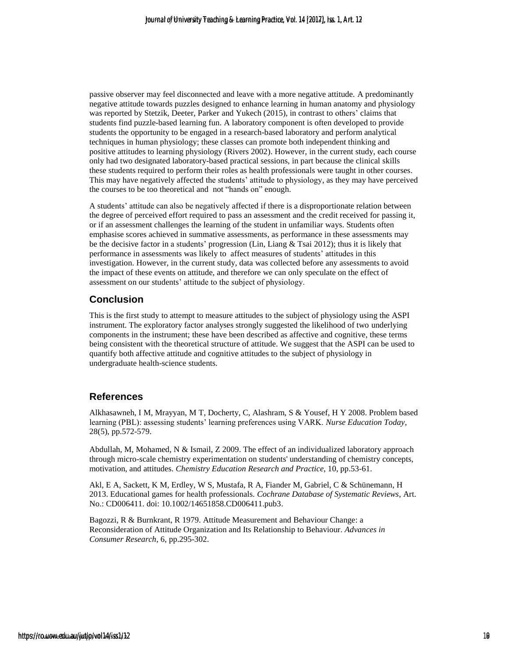passive observer may feel disconnected and leave with a more negative attitude. A predominantly negative attitude towards puzzles designed to enhance learning in human anatomy and physiology was reported by Stetzik, Deeter, Parker and Yukech (2015), in contrast to others' claims that students find puzzle-based learning fun. A laboratory component is often developed to provide students the opportunity to be engaged in a research-based laboratory and perform analytical techniques in human physiology; these classes can promote both independent thinking and positive attitudes to learning physiology (Rivers 2002). However, in the current study, each course only had two designated laboratory-based practical sessions, in part because the clinical skills these students required to perform their roles as health professionals were taught in other courses. This may have negatively affected the students' attitude to physiology, as they may have perceived the courses to be too theoretical and not "hands on" enough.

A students' attitude can also be negatively affected if there is a disproportionate relation between the degree of perceived effort required to pass an assessment and the credit received for passing it, or if an assessment challenges the learning of the student in unfamiliar ways. Students often emphasise scores achieved in summative assessments, as performance in these assessments may be the decisive factor in a students' progression (Lin, Liang & Tsai 2012); thus it is likely that performance in assessments was likely to affect measures of students' attitudes in this investigation. However, in the current study, data was collected before any assessments to avoid the impact of these events on attitude, and therefore we can only speculate on the effect of assessment on our students' attitude to the subject of physiology.

### **Conclusion**

This is the first study to attempt to measure attitudes to the subject of physiology using the ASPI instrument. The exploratory factor analyses strongly suggested the likelihood of two underlying components in the instrument; these have been described as affective and cognitive, these terms being consistent with the theoretical structure of attitude. We suggest that the ASPI can be used to quantify both affective attitude and cognitive attitudes to the subject of physiology in undergraduate health-science students.

### **References**

Alkhasawneh, I M, Mrayyan, M T, Docherty, C, Alashram, S & Yousef, H Y 2008. Problem based learning (PBL): assessing students' learning preferences using VARK. *Nurse Education Today*, 28(5), pp.572-579.

Abdullah, M, Mohamed, N & Ismail, Z 2009. The effect of an individualized laboratory approach through micro-scale chemistry experimentation on students' understanding of chemistry concepts, motivation, and attitudes. *Chemistry Education Research and Practice*, 10, pp.53-61.

Akl, E A, Sackett, K M, Erdley, W S, Mustafa, R A, Fiander M, Gabriel, C & Schünemann, H 2013. Educational games for health professionals. *Cochrane Database of Systematic Reviews*, Art. No.: CD006411. doi: 10.1002/14651858.CD006411.pub3.

Bagozzi, R & Burnkrant, R 1979. Attitude Measurement and Behaviour Change: a Reconsideration of Attitude Organization and Its Relationship to Behaviour. *Advances in Consumer Research*, 6, pp.295-302.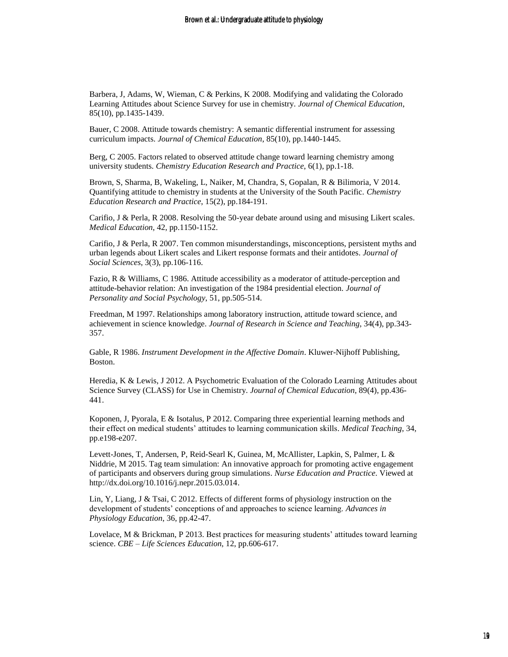Barbera, J, Adams, W, Wieman, C & Perkins, K 2008. Modifying and validating the Colorado Learning Attitudes about Science Survey for use in chemistry. *Journal of Chemical Education*, 85(10), pp.1435-1439.

Bauer, C 2008. Attitude towards chemistry: A semantic differential instrument for assessing curriculum impacts. *Journal of Chemical Education*, 85(10), pp.1440-1445.

Berg, C 2005. Factors related to observed attitude change toward learning chemistry among university students. *Chemistry Education Research and Practice*, 6(1), pp.1-18.

Brown, S, Sharma, B, Wakeling, L, Naiker, M, Chandra, S, Gopalan, R & Bilimoria, V 2014. Quantifying attitude to chemistry in students at the University of the South Pacific. *Chemistry Education Research and Practice*, 15(2), pp.184-191.

Carifio, J & Perla, R 2008. Resolving the 50-year debate around using and misusing Likert scales. *Medical Education*, 42, pp.1150-1152.

Carifio, J & Perla, R 2007. Ten common misunderstandings, misconceptions, persistent myths and urban legends about Likert scales and Likert response formats and their antidotes. *Journal of Social Sciences*, 3(3), pp.106-116.

Fazio, R & Williams, C 1986. Attitude accessibility as a moderator of attitude-perception and attitude-behavior relation: An investigation of the 1984 presidential election. *Journal of Personality and Social Psychology*, 51, pp.505-514.

Freedman, M 1997. Relationships among laboratory instruction, attitude toward science, and achievement in science knowledge. *Journal of Research in Science and Teaching*, 34(4), pp.343- 357.

Gable, R 1986. *Instrument Development in the Affective Domain*. Kluwer-Nijhoff Publishing, Boston.

Heredia, K & Lewis, J 2012. A Psychometric Evaluation of the Colorado Learning Attitudes about Science Survey (CLASS) for Use in Chemistry. *Journal of Chemical Education*, 89(4), pp.436- 441.

Koponen, J, Pyorala, E & Isotalus, P 2012. Comparing three experiential learning methods and their effect on medical students' attitudes to learning communication skills. *Medical Teaching*, 34, pp.e198-e207.

Levett-Jones, T, Andersen, P, Reid-Searl K, Guinea, M, McAllister, Lapkin, S, Palmer, L & Niddrie, M 2015. Tag team simulation: An innovative approach for promoting active engagement of participants and observers during group simulations. *Nurse Education and Practice*. Viewed at http://dx.doi.org/10.1016/j.nepr.2015.03.014.

Lin, Y, Liang, J & Tsai, C 2012. Effects of different forms of physiology instruction on the development of students' conceptions of and approaches to science learning. *Advances in Physiology Education*, 36, pp.42-47.

Lovelace, M & Brickman, P 2013. Best practices for measuring students' attitudes toward learning science. *CBE – Life Sciences Education*, 12, pp.606-617.